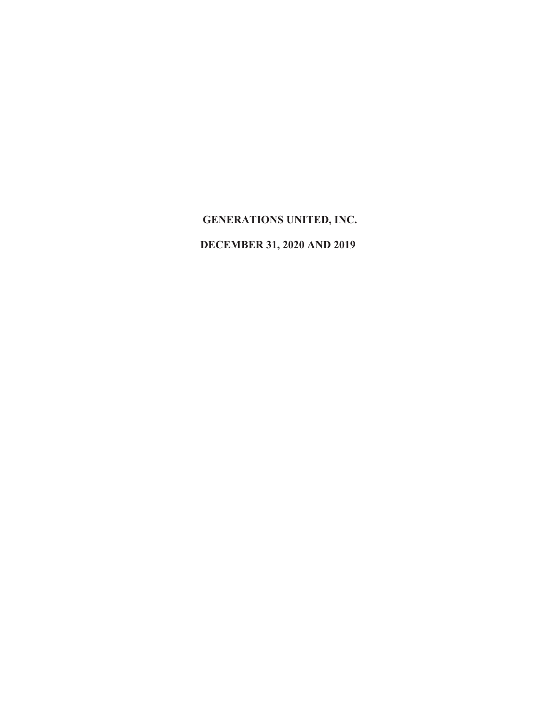## **DECEMBER 31, 2020 AND 2019**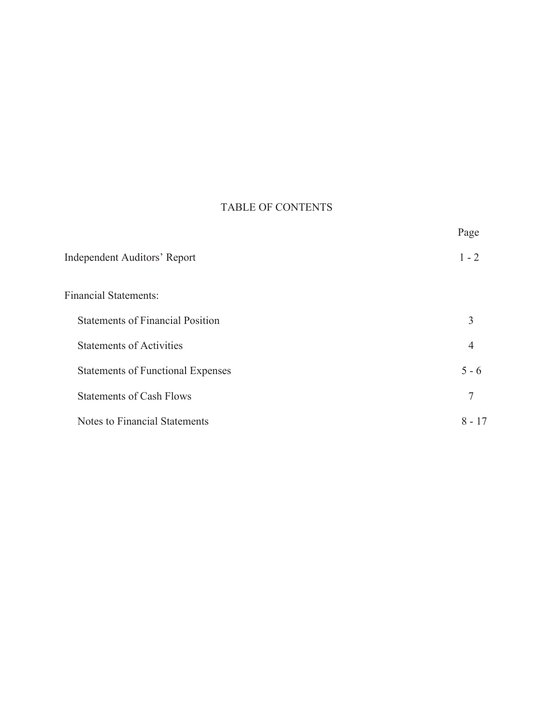## TABLE OF CONTENTS

|                                          | Page     |
|------------------------------------------|----------|
| <b>Independent Auditors' Report</b>      | $1 - 2$  |
| <b>Financial Statements:</b>             |          |
| <b>Statements of Financial Position</b>  | 3        |
| <b>Statements of Activities</b>          | 4        |
| <b>Statements of Functional Expenses</b> | $5 - 6$  |
| <b>Statements of Cash Flows</b>          | 7        |
| Notes to Financial Statements            | $8 - 17$ |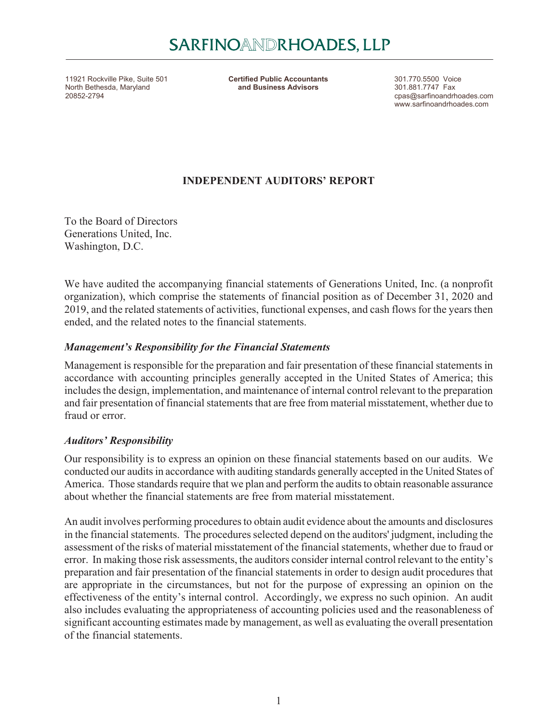11921 Rockville Pike, Suite 501 **301.770.5500** Voice **Certified Public Accountants** 301.770.5500 Voice 301.770.5500 Voice 301.881.7747 Fax North Bethesda, Maryland 20852-2794 cpas@sarfinoandrhoades.com

**Certified Public Accountants** and Business Advisors

www.sarfinoandrhoades.com

## **INDEPENDENT AUDITORS' REPORT**

To the Board of Directors Generations United, Inc. Washington, D.C.

We have audited the accompanying financial statements of Generations United, Inc. (a nonprofit organization), which comprise the statements of financial position as of December 31, 2020 and 2019, and the related statements of activities, functional expenses, and cash flows for the years then ended, and the related notes to the financial statements.

## *Management's Responsibility for the Financial Statements*

Management is responsible for the preparation and fair presentation of these financial statements in accordance with accounting principles generally accepted in the United States of America; this includes the design, implementation, and maintenance of internal control relevant to the preparation and fair presentation of financial statements that are free from material misstatement, whether due to fraud or error.

### *Auditors' Responsibility*

Our responsibility is to express an opinion on these financial statements based on our audits. We conducted our audits in accordance with auditing standards generally accepted in the United States of America. Those standards require that we plan and perform the audits to obtain reasonable assurance about whether the financial statements are free from material misstatement.

An audit involves performing procedures to obtain audit evidence about the amounts and disclosures in the financial statements. The procedures selected depend on the auditors' judgment, including the assessment of the risks of material misstatement of the financial statements, whether due to fraud or error. In making those risk assessments, the auditors consider internal control relevant to the entity's preparation and fair presentation of the financial statements in order to design audit procedures that are appropriate in the circumstances, but not for the purpose of expressing an opinion on the effectiveness of the entity's internal control. Accordingly, we express no such opinion. An audit also includes evaluating the appropriateness of accounting policies used and the reasonableness of significant accounting estimates made by management, as well as evaluating the overall presentation of the financial statements.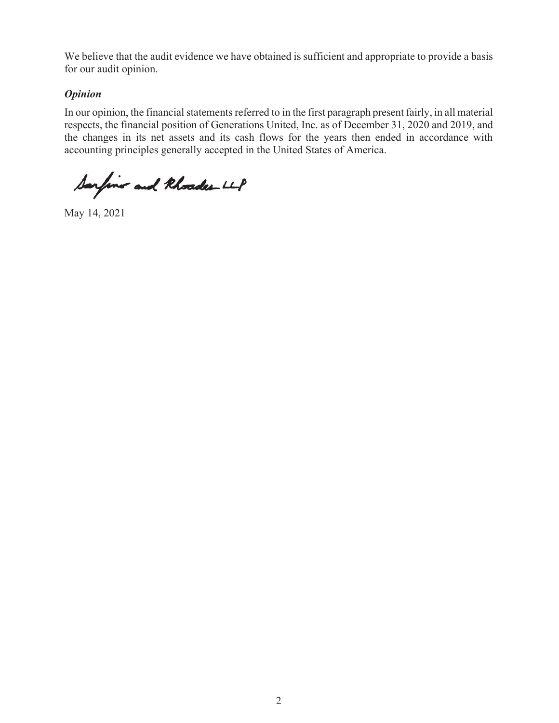We believe that the audit evidence we have obtained is sufficient and appropriate to provide a basis for our audit opinion.

## *Opinion*

In our opinion, the financial statements referred to in the first paragraph present fairly, in all material respects, the financial position of Generations United, Inc. as of December 31, 2020 and 2019, and the changes in its net assets and its cash flows for the years then ended in accordance with accounting principles generally accepted in the United States of America.

Sarfins and Rhoader LLP

May 14, 2021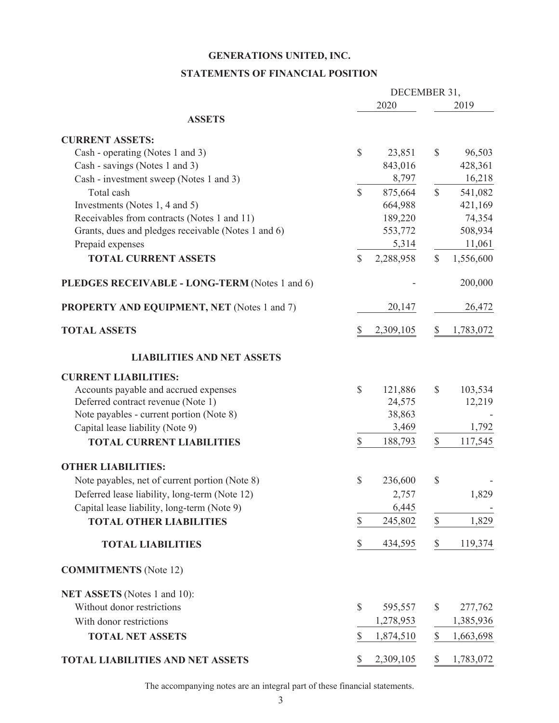#### **STATEMENTS OF FINANCIAL POSITION**

|                                                     |               | DECEMBER 31, |               |           |
|-----------------------------------------------------|---------------|--------------|---------------|-----------|
|                                                     |               | 2020         |               | 2019      |
| <b>ASSETS</b>                                       |               |              |               |           |
| <b>CURRENT ASSETS:</b>                              |               |              |               |           |
| Cash - operating (Notes 1 and 3)                    | $\mathbb{S}$  | 23,851       | $\mathbb{S}$  | 96,503    |
| Cash - savings (Notes 1 and 3)                      |               | 843,016      |               | 428,361   |
| Cash - investment sweep (Notes 1 and 3)             |               | 8,797        |               | 16,218    |
| Total cash                                          | $\mathcal{S}$ | 875,664      | $\mathcal{S}$ | 541,082   |
| Investments (Notes 1, 4 and 5)                      |               | 664,988      |               | 421,169   |
| Receivables from contracts (Notes 1 and 11)         |               | 189,220      |               | 74,354    |
| Grants, dues and pledges receivable (Notes 1 and 6) |               | 553,772      |               | 508,934   |
| Prepaid expenses                                    |               | 5,314        |               | 11,061    |
| <b>TOTAL CURRENT ASSETS</b>                         | \$            | 2,288,958    | $\mathcal{S}$ | 1,556,600 |
| PLEDGES RECEIVABLE - LONG-TERM (Notes 1 and 6)      |               |              |               | 200,000   |
| <b>PROPERTY AND EQUIPMENT, NET (Notes 1 and 7)</b>  |               | 20,147       |               | 26,472    |
| <b>TOTAL ASSETS</b>                                 | S             | 2,309,105    | \$            | 1,783,072 |
| <b>LIABILITIES AND NET ASSETS</b>                   |               |              |               |           |
| <b>CURRENT LIABILITIES:</b>                         |               |              |               |           |
| Accounts payable and accrued expenses               | $\mathbb{S}$  | 121,886      | $\mathcal{S}$ | 103,534   |
| Deferred contract revenue (Note 1)                  |               | 24,575       |               | 12,219    |
| Note payables - current portion (Note 8)            |               | 38,863       |               |           |
| Capital lease liability (Note 9)                    |               | 3,469        |               | 1,792     |
| <b>TOTAL CURRENT LIABILITIES</b>                    | \$            | 188,793      | \$            | 117,545   |
| <b>OTHER LIABILITIES:</b>                           |               |              |               |           |
| Note payables, net of current portion (Note 8)      | \$            | 236,600      | $\mathbb{S}$  |           |
| Deferred lease liability, long-term (Note 12)       |               | 2,757        |               | 1,829     |
| Capital lease liability, long-term (Note 9)         |               | 6,445        |               |           |
| <b>TOTAL OTHER LIABILITIES</b>                      | $\mathbb{S}$  | 245,802      | $\mathbb{S}$  | 1,829     |
| <b>TOTAL LIABILITIES</b>                            | \$            | 434,595      | \$            | 119,374   |
| <b>COMMITMENTS</b> (Note 12)                        |               |              |               |           |
| NET ASSETS (Notes 1 and 10):                        |               |              |               |           |
| Without donor restrictions                          | \$            | 595,557      | \$            | 277,762   |
| With donor restrictions                             |               | 1,278,953    |               | 1,385,936 |
| <b>TOTAL NET ASSETS</b>                             | \$            | 1,874,510    | $\$$          | 1,663,698 |
| <b>TOTAL LIABILITIES AND NET ASSETS</b>             | \$            | 2,309,105    | \$            | 1,783,072 |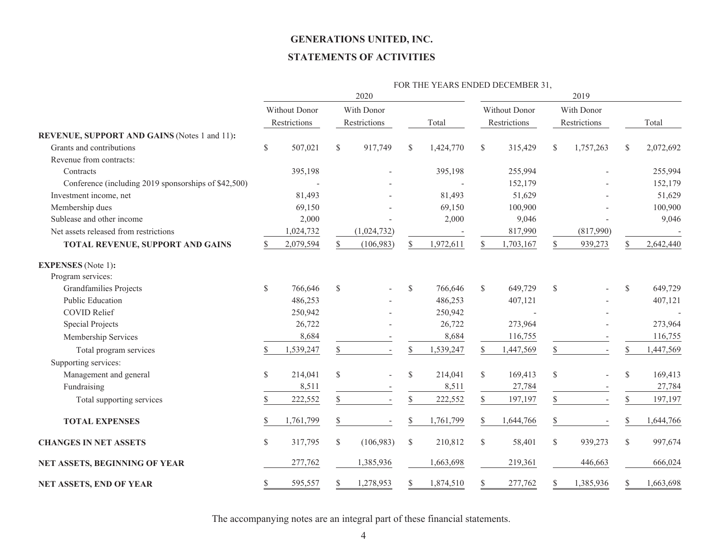#### **STATEMENTS OF ACTIVITIES**

|                                                      |                      |              |            |              |              |           |                      | FOR THE YEARS ENDED DECEMBER 31, |              |              |               |           |
|------------------------------------------------------|----------------------|--------------|------------|--------------|--------------|-----------|----------------------|----------------------------------|--------------|--------------|---------------|-----------|
|                                                      |                      |              |            | 2020         |              |           |                      |                                  |              | 2019         |               |           |
|                                                      | <b>Without Donor</b> |              | With Donor |              |              |           | <b>Without Donor</b> |                                  | With Donor   |              |               |           |
|                                                      |                      | Restrictions |            | Restrictions |              | Total     |                      | Restrictions                     |              | Restrictions |               | Total     |
| REVENUE, SUPPORT AND GAINS (Notes 1 and 11):         |                      |              |            |              |              |           |                      |                                  |              |              |               |           |
| Grants and contributions                             | \$                   | 507,021      | \$         | 917,749      | S            | 1,424,770 | \$                   | 315,429                          | S            | 1,757,263    | S.            | 2,072,692 |
| Revenue from contracts:                              |                      |              |            |              |              |           |                      |                                  |              |              |               |           |
| Contracts                                            |                      | 395,198      |            |              |              | 395,198   |                      | 255,994                          |              |              |               | 255,994   |
| Conference (including 2019 sponsorships of \$42,500) |                      |              |            |              |              |           |                      | 152,179                          |              |              |               | 152,179   |
| Investment income, net                               |                      | 81,493       |            |              |              | 81,493    |                      | 51,629                           |              |              |               | 51,629    |
| Membership dues                                      |                      | 69,150       |            |              |              | 69,150    |                      | 100,900                          |              |              |               | 100,900   |
| Sublease and other income                            |                      | 2,000        |            |              |              | 2,000     |                      | 9,046                            |              |              |               | 9,046     |
| Net assets released from restrictions                |                      | 1,024,732    |            | (1,024,732)  |              |           |                      | 817,990                          |              | (817,990)    |               |           |
| TOTAL REVENUE, SUPPORT AND GAINS                     | S                    | 2,079,594    |            | (106, 983)   | \$           | 1,972,611 | <sup>\$</sup>        | 1,703,167                        | \$           | 939,273      |               | 2,642,440 |
| <b>EXPENSES</b> (Note 1):                            |                      |              |            |              |              |           |                      |                                  |              |              |               |           |
| Program services:                                    |                      |              |            |              |              |           |                      |                                  |              |              |               |           |
| <b>Grandfamilies Projects</b>                        | \$                   | 766,646      | \$         |              | $\mathbb{S}$ | 766,646   | \$                   | 649,729                          | \$           |              | \$            | 649,729   |
| <b>Public Education</b>                              |                      | 486,253      |            |              |              | 486,253   |                      | 407,121                          |              |              |               | 407,121   |
| <b>COVID Relief</b>                                  |                      | 250,942      |            |              |              | 250,942   |                      |                                  |              |              |               |           |
| <b>Special Projects</b>                              |                      | 26,722       |            |              |              | 26,722    |                      | 273,964                          |              |              |               | 273,964   |
| Membership Services                                  |                      | 8,684        |            |              |              | 8,684     |                      | 116,755                          |              |              |               | 116,755   |
| Total program services                               | S                    | 1,539,247    | \$         |              | \$           | 1,539,247 | S                    | 1,447,569                        | \$           |              | \$            | 1,447,569 |
| Supporting services:                                 |                      |              |            |              |              |           |                      |                                  |              |              |               |           |
| Management and general                               | $\mathbb{S}$         | 214,041      | \$         |              | $\mathbb{S}$ | 214,041   | \$                   | 169,413                          | $\mathbb{S}$ |              | $\mathcal{S}$ | 169,413   |
| Fundraising                                          |                      | 8,511        |            |              |              | 8,511     |                      | 27,784                           |              |              |               | 27,784    |
| Total supporting services                            | S                    | 222,552      | \$         |              | \$           | 222,552   | \$                   | 197,197                          | \$           |              | \$            | 197,197   |
| <b>TOTAL EXPENSES</b>                                | S                    | 1,761,799    | \$         |              | \$           | 1,761,799 | \$                   | 1,644,766                        | \$           |              | \$            | 1,644,766 |
| <b>CHANGES IN NET ASSETS</b>                         | \$                   | 317,795      | \$         | (106,983)    | $\mathbb{S}$ | 210,812   | \$                   | 58,401                           | \$           | 939,273      | \$            | 997,674   |
| NET ASSETS, BEGINNING OF YEAR                        |                      | 277,762      |            | 1,385,936    |              | 1,663,698 |                      | 219,361                          |              | 446,663      |               | 666,024   |
| NET ASSETS, END OF YEAR                              | \$                   | 595,557      | S          | 1,278,953    | S            | 1,874,510 | S                    | 277,762                          | \$           | 1,385,936    | \$            | 1,663,698 |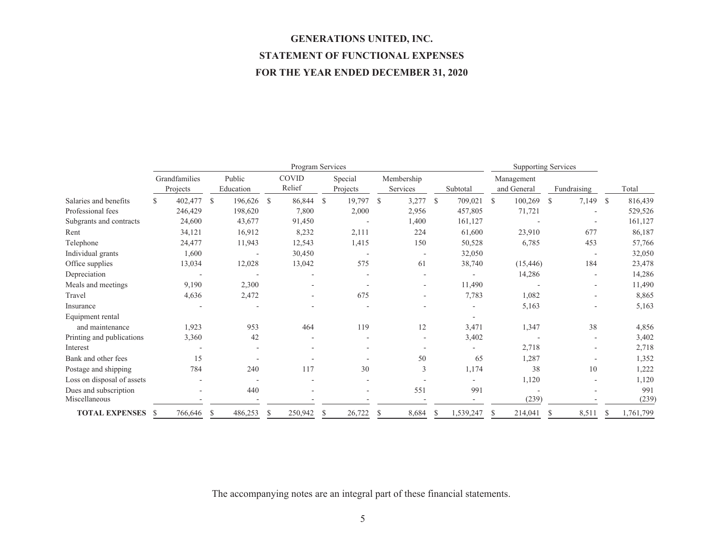# **GENERATIONS UNITED, INC. STATEMENT OF FUNCTIONAL EXPENSES FOR THE YEAR ENDED DECEMBER 31, 2020**

|                            |                           | Program Services |               |                     |              |                        |              |                          |               |                          |               | <b>Supporting Services</b> |   |                           |               |             |               |           |
|----------------------------|---------------------------|------------------|---------------|---------------------|--------------|------------------------|--------------|--------------------------|---------------|--------------------------|---------------|----------------------------|---|---------------------------|---------------|-------------|---------------|-----------|
|                            | Grandfamilies<br>Projects |                  |               | Public<br>Education |              | <b>COVID</b><br>Relief |              | Special<br>Projects      |               | Membership<br>Services   |               | Subtotal                   |   | Management<br>and General |               | Fundraising |               | Total     |
| Salaries and benefits      | S                         | 402,477          | <sup>S</sup>  | 196,626 \$          |              | 86,844                 | $\mathbf{s}$ | 19,797                   | <sup>\$</sup> | 3,277                    | <sup>\$</sup> | 709,021                    | S | 100,269                   | <sup>\$</sup> | 7,149       | <sup>\$</sup> | 816,439   |
| Professional fees          |                           | 246,429          |               | 198,620             |              | 7,800                  |              | 2,000                    |               | 2,956                    |               | 457,805                    |   | 71,721                    |               |             |               | 529,526   |
| Subgrants and contracts    |                           | 24,600           |               | 43,677              |              | 91,450                 |              |                          |               | 1,400                    |               | 161,127                    |   |                           |               |             |               | 161,127   |
| Rent                       |                           | 34,121           |               | 16,912              |              | 8,232                  |              | 2,111                    |               | 224                      |               | 61,600                     |   | 23,910                    |               | 677         |               | 86,187    |
| Telephone                  |                           | 24,477           |               | 11,943              |              | 12,543                 |              | 1,415                    |               | 150                      |               | 50,528                     |   | 6,785                     |               | 453         |               | 57,766    |
| Individual grants          |                           | 1,600            |               |                     |              | 30,450                 |              |                          |               | $\overline{\phantom{a}}$ |               | 32,050                     |   |                           |               |             |               | 32,050    |
| Office supplies            |                           | 13,034           |               | 12,028              |              | 13,042                 |              | 575                      |               | 61                       |               | 38,740                     |   | (15, 446)                 |               | 184         |               | 23,478    |
| Depreciation               |                           |                  |               |                     |              |                        |              |                          |               | ۰                        |               |                            |   | 14,286                    |               |             |               | 14,286    |
| Meals and meetings         |                           | 9,190            |               | 2,300               |              |                        |              |                          |               |                          |               | 11,490                     |   |                           |               |             |               | 11,490    |
| Travel                     |                           | 4,636            |               | 2,472               |              |                        |              | 675                      |               | ٠                        |               | 7,783                      |   | 1,082                     |               |             |               | 8,865     |
| Insurance                  |                           |                  |               |                     |              |                        |              |                          |               |                          |               |                            |   | 5,163                     |               |             |               | 5,163     |
| Equipment rental           |                           |                  |               |                     |              |                        |              |                          |               |                          |               |                            |   |                           |               |             |               |           |
| and maintenance            |                           | 1,923            |               | 953                 |              | 464                    |              | 119                      |               | 12                       |               | 3,471                      |   | 1,347                     |               | 38          |               | 4,856     |
| Printing and publications  |                           | 3,360            |               | 42                  |              |                        |              |                          |               |                          |               | 3,402                      |   |                           |               |             |               | 3,402     |
| Interest                   |                           |                  |               |                     |              |                        |              |                          |               |                          |               |                            |   | 2,718                     |               |             |               | 2,718     |
| Bank and other fees        |                           | 15               |               |                     |              |                        |              |                          |               | 50                       |               | 65                         |   | 1,287                     |               |             |               | 1,352     |
| Postage and shipping       |                           | 784              |               | 240                 |              | 117                    |              | 30                       |               | 3                        |               | 1,174                      |   | 38                        |               | 10          |               | 1,222     |
| Loss on disposal of assets |                           |                  |               |                     |              |                        |              |                          |               |                          |               |                            |   | 1,120                     |               |             |               | 1,120     |
| Dues and subscription      |                           |                  |               | 440                 |              |                        |              | $\overline{\phantom{a}}$ |               | 551                      |               | 991                        |   |                           |               |             |               | 991       |
| Miscellaneous              |                           |                  |               |                     |              |                        |              |                          |               |                          |               |                            |   | (239)                     |               |             |               | (239)     |
| <b>TOTAL EXPENSES</b>      | -S                        | 766,646          | <sup>\$</sup> | 486,253             | <sup>S</sup> | 250,942                | S            | 26,722                   | S             | 8,684                    | S             | 1,539,247                  | S | 214,041                   | S.            | 8,511       | S             | 1,761,799 |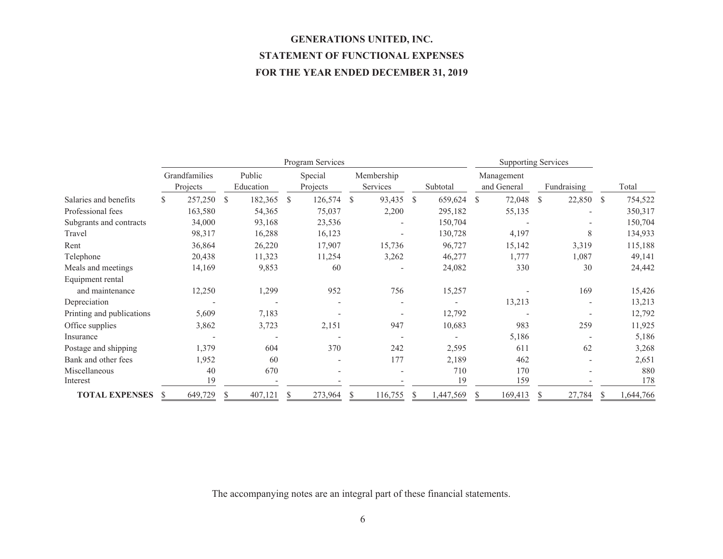# **GENERATIONS UNITED, INC. STATEMENT OF FUNCTIONAL EXPENSES FOR THE YEAR ENDED DECEMBER 31, 2019**

|                           |    | Program Services          |              |                     |               |                     |               |                        |               | <b>Supporting Services</b> |   |                           |   |                          |               |            |
|---------------------------|----|---------------------------|--------------|---------------------|---------------|---------------------|---------------|------------------------|---------------|----------------------------|---|---------------------------|---|--------------------------|---------------|------------|
|                           |    | Grandfamilies<br>Projects |              | Public<br>Education |               | Special<br>Projects |               | Membership<br>Services |               | Subtotal                   |   | Management<br>and General |   | Fundraising              |               | Total      |
| Salaries and benefits     | S. | 257,250                   | <sup>S</sup> | 182,365             | <sup>\$</sup> | 126,574             | <sup>\$</sup> | 93,435                 | <sup>\$</sup> | 659,624                    | S | 72,048                    | S | 22,850                   | <sup>\$</sup> | 754,522    |
| Professional fees         |    | 163,580                   |              | 54,365              |               | 75,037              |               | 2,200                  |               | 295,182                    |   | 55,135                    |   |                          |               | 350,317    |
| Subgrants and contracts   |    | 34,000                    |              | 93,168              |               | 23,536              |               |                        |               | 150,704                    |   |                           |   | $\overline{\phantom{a}}$ |               | 150,704    |
| Travel                    |    | 98,317                    |              | 16,288              |               | 16,123              |               |                        |               | 130,728                    |   | 4,197                     |   | 8                        |               | 134,933    |
| Rent                      |    | 36,864                    |              | 26,220              |               | 17,907              |               | 15,736                 |               | 96,727                     |   | 15,142                    |   | 3,319                    |               | 115,188    |
| Telephone                 |    | 20,438                    |              | 11,323              |               | 11,254              |               | 3,262                  |               | 46,277                     |   | 1,777                     |   | 1,087                    |               | 49,141     |
| Meals and meetings        |    | 14,169                    |              | 9,853               |               | 60                  |               |                        |               | 24,082                     |   | 330                       |   | 30                       |               | 24,442     |
| Equipment rental          |    |                           |              |                     |               |                     |               |                        |               |                            |   |                           |   |                          |               |            |
| and maintenance           |    | 12,250                    |              | 1,299               |               | 952                 |               | 756                    |               | 15,257                     |   |                           |   | 169                      |               | 15,426     |
| Depreciation              |    |                           |              |                     |               |                     |               |                        |               |                            |   | 13,213                    |   | $\overline{\phantom{a}}$ |               | 13,213     |
| Printing and publications |    | 5,609                     |              | 7,183               |               |                     |               |                        |               | 12,792                     |   |                           |   |                          |               | 12,792     |
| Office supplies           |    | 3,862                     |              | 3,723               |               | 2,151               |               | 947                    |               | 10,683                     |   | 983                       |   | 259                      |               | 11,925     |
| Insurance                 |    |                           |              |                     |               |                     |               |                        |               |                            |   | 5,186                     |   |                          |               | 5,186      |
| Postage and shipping      |    | 1,379                     |              | 604                 |               | 370                 |               | 242                    |               | 2,595                      |   | 611                       |   | 62                       |               | 3,268      |
| Bank and other fees       |    | 1,952                     |              | 60                  |               |                     |               | 177                    |               | 2,189                      |   | 462                       |   |                          |               | 2,651      |
| Miscellaneous<br>Interest |    | 40<br>19                  |              | 670                 |               |                     |               |                        |               | 710<br>19                  |   | 170<br>159                |   |                          |               | 880<br>178 |
| <b>TOTAL EXPENSES</b>     |    | 649,729                   |              | 407,121             |               | 273,964             | S             | 116,755                |               | 1,447,569                  |   | 169,413                   |   | 27,784                   |               | 1,644,766  |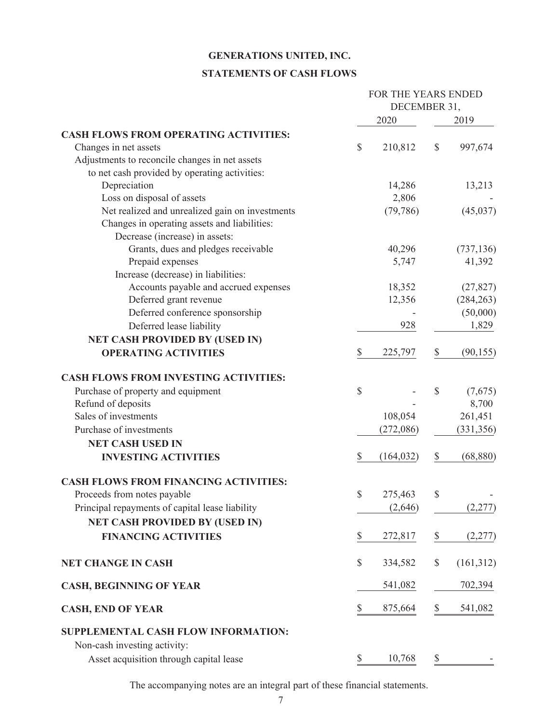### **STATEMENTS OF CASH FLOWS**

|                                                                     |      | FOR THE YEARS ENDED<br>DECEMBER 31, |    |            |
|---------------------------------------------------------------------|------|-------------------------------------|----|------------|
|                                                                     |      | 2020                                |    | 2019       |
| <b>CASH FLOWS FROM OPERATING ACTIVITIES:</b>                        |      |                                     |    |            |
| Changes in net assets                                               | \$   | 210,812                             | \$ | 997,674    |
| Adjustments to reconcile changes in net assets                      |      |                                     |    |            |
| to net cash provided by operating activities:                       |      |                                     |    |            |
| Depreciation                                                        |      | 14,286                              |    | 13,213     |
| Loss on disposal of assets                                          |      | 2,806                               |    |            |
| Net realized and unrealized gain on investments                     |      | (79, 786)                           |    | (45,037)   |
| Changes in operating assets and liabilities:                        |      |                                     |    |            |
| Decrease (increase) in assets:                                      |      |                                     |    |            |
| Grants, dues and pledges receivable                                 |      | 40,296                              |    | (737, 136) |
| Prepaid expenses                                                    |      | 5,747                               |    | 41,392     |
| Increase (decrease) in liabilities:                                 |      |                                     |    |            |
| Accounts payable and accrued expenses                               |      | 18,352                              |    | (27, 827)  |
| Deferred grant revenue                                              |      | 12,356                              |    | (284, 263) |
| Deferred conference sponsorship                                     |      |                                     |    | (50,000)   |
| Deferred lease liability                                            |      | 928                                 |    | 1,829      |
| <b>NET CASH PROVIDED BY (USED IN)</b>                               |      |                                     |    |            |
| <b>OPERATING ACTIVITIES</b>                                         | \$   | 225,797                             | \$ | (90, 155)  |
| <b>CASH FLOWS FROM INVESTING ACTIVITIES:</b>                        |      |                                     |    |            |
| Purchase of property and equipment                                  | \$   |                                     | \$ | (7,675)    |
| Refund of deposits                                                  |      |                                     |    | 8,700      |
| Sales of investments                                                |      | 108,054                             |    | 261,451    |
| Purchase of investments                                             |      | (272,086)                           |    | (331, 356) |
| <b>NET CASH USED IN</b>                                             |      |                                     |    |            |
| <b>INVESTING ACTIVITIES</b>                                         |      | (164, 032)                          | \$ | (68, 880)  |
| <b>CASH FLOWS FROM FINANCING ACTIVITIES:</b>                        |      |                                     |    |            |
| Proceeds from notes payable                                         | \$   | 275,463                             | \$ |            |
| Principal repayments of capital lease liability                     |      | (2,646)                             |    | (2,277)    |
| <b>NET CASH PROVIDED BY (USED IN)</b>                               |      |                                     |    |            |
| <b>FINANCING ACTIVITIES</b>                                         | \$   | 272,817                             | \$ | (2,277)    |
| <b>NET CHANGE IN CASH</b>                                           | $\$$ | 334,582                             | \$ | (161,312)  |
| <b>CASH, BEGINNING OF YEAR</b>                                      |      | 541,082                             |    | 702,394    |
| <b>CASH, END OF YEAR</b>                                            | \$   | 875,664                             | \$ | 541,082    |
| SUPPLEMENTAL CASH FLOW INFORMATION:<br>Non-cash investing activity: |      |                                     |    |            |
| Asset acquisition through capital lease                             | \$   | 10,768                              | \$ |            |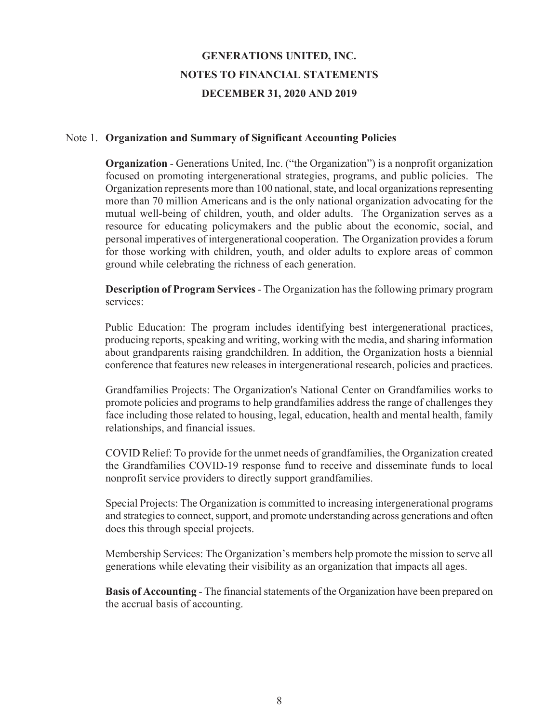#### Note 1. **Organization and Summary of Significant Accounting Policies**

**Organization** - Generations United, Inc. ("the Organization") is a nonprofit organization focused on promoting intergenerational strategies, programs, and public policies. The Organization represents more than 100 national, state, and local organizations representing more than 70 million Americans and is the only national organization advocating for the mutual well-being of children, youth, and older adults. The Organization serves as a resource for educating policymakers and the public about the economic, social, and personal imperatives of intergenerational cooperation. The Organization provides a forum for those working with children, youth, and older adults to explore areas of common ground while celebrating the richness of each generation.

**Description of Program Services** - The Organization has the following primary program services:

Public Education: The program includes identifying best intergenerational practices, producing reports, speaking and writing, working with the media, and sharing information about grandparents raising grandchildren. In addition, the Organization hosts a biennial conference that features new releases in intergenerational research, policies and practices.

Grandfamilies Projects: The Organization's National Center on Grandfamilies works to promote policies and programs to help grandfamilies address the range of challenges they face including those related to housing, legal, education, health and mental health, family relationships, and financial issues.

COVID Relief: To provide for the unmet needs of grandfamilies, the Organization created the Grandfamilies COVID-19 response fund to receive and disseminate funds to local nonprofit service providers to directly support grandfamilies.

Special Projects: The Organization is committed to increasing intergenerational programs and strategies to connect, support, and promote understanding across generations and often does this through special projects.

Membership Services: The Organization's members help promote the mission to serve all generations while elevating their visibility as an organization that impacts all ages.

**Basis of Accounting** - The financial statements of the Organization have been prepared on the accrual basis of accounting.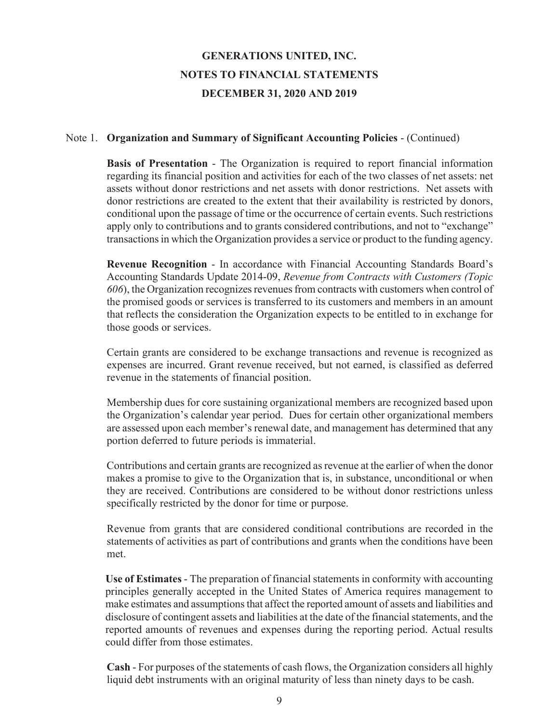#### Note 1. **Organization and Summary of Significant Accounting Policies** - (Continued)

**Basis of Presentation** - The Organization is required to report financial information regarding its financial position and activities for each of the two classes of net assets: net assets without donor restrictions and net assets with donor restrictions. Net assets with donor restrictions are created to the extent that their availability is restricted by donors, conditional upon the passage of time or the occurrence of certain events. Such restrictions apply only to contributions and to grants considered contributions, and not to "exchange" transactions in which the Organization provides a service or product to the funding agency.

**Revenue Recognition** - In accordance with Financial Accounting Standards Board's Accounting Standards Update 2014-09, *Revenue from Contracts with Customers (Topic 606*), the Organization recognizes revenues from contracts with customers when control of the promised goods or services is transferred to its customers and members in an amount that reflects the consideration the Organization expects to be entitled to in exchange for those goods or services.

Certain grants are considered to be exchange transactions and revenue is recognized as expenses are incurred. Grant revenue received, but not earned, is classified as deferred revenue in the statements of financial position.

Membership dues for core sustaining organizational members are recognized based upon the Organization's calendar year period. Dues for certain other organizational members are assessed upon each member's renewal date, and management has determined that any portion deferred to future periods is immaterial.

Contributions and certain grants are recognized as revenue at the earlier of when the donor makes a promise to give to the Organization that is, in substance, unconditional or when they are received. Contributions are considered to be without donor restrictions unless specifically restricted by the donor for time or purpose.

Revenue from grants that are considered conditional contributions are recorded in the statements of activities as part of contributions and grants when the conditions have been met.

**Use of Estimates** - The preparation of financial statements in conformity with accounting principles generally accepted in the United States of America requires management to make estimates and assumptions that affect the reported amount of assets and liabilities and disclosure of contingent assets and liabilities at the date of the financial statements, and the reported amounts of revenues and expenses during the reporting period. Actual results could differ from those estimates.

**Cash** - For purposes of the statements of cash flows, the Organization considers all highly liquid debt instruments with an original maturity of less than ninety days to be cash.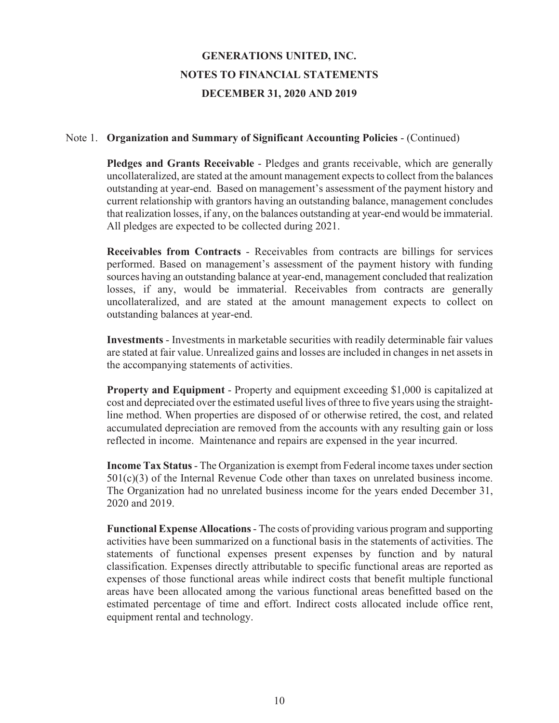### Note 1. **Organization and Summary of Significant Accounting Policies** - (Continued)

**Pledges and Grants Receivable** - Pledges and grants receivable, which are generally uncollateralized, are stated at the amount management expects to collect from the balances outstanding at year-end. Based on management's assessment of the payment history and current relationship with grantors having an outstanding balance, management concludes that realization losses, if any, on the balances outstanding at year-end would be immaterial. All pledges are expected to be collected during 2021.

**Receivables from Contracts** - Receivables from contracts are billings for services performed. Based on management's assessment of the payment history with funding sources having an outstanding balance at year-end, management concluded that realization losses, if any, would be immaterial. Receivables from contracts are generally uncollateralized, and are stated at the amount management expects to collect on outstanding balances at year-end.

**Investments** - Investments in marketable securities with readily determinable fair values are stated at fair value. Unrealized gains and losses are included in changes in net assets in the accompanying statements of activities.

**Property and Equipment** - Property and equipment exceeding \$1,000 is capitalized at cost and depreciated over the estimated useful lives of three to five years using the straightline method. When properties are disposed of or otherwise retired, the cost, and related accumulated depreciation are removed from the accounts with any resulting gain or loss reflected in income. Maintenance and repairs are expensed in the year incurred.

**Income Tax Status** - The Organization is exempt from Federal income taxes under section  $501(c)(3)$  of the Internal Revenue Code other than taxes on unrelated business income. The Organization had no unrelated business income for the years ended December 31, 2020 and 2019.

**Functional Expense Allocations** - The costs of providing various program and supporting activities have been summarized on a functional basis in the statements of activities. The statements of functional expenses present expenses by function and by natural classification. Expenses directly attributable to specific functional areas are reported as expenses of those functional areas while indirect costs that benefit multiple functional areas have been allocated among the various functional areas benefitted based on the estimated percentage of time and effort. Indirect costs allocated include office rent, equipment rental and technology.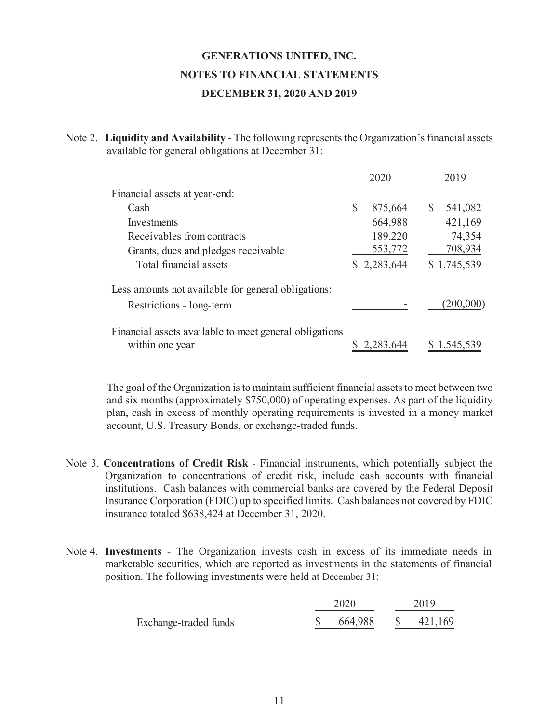Note 2. **Liquidity and Availability** - The following represents the Organization's financial assets available for general obligations at December 31:

|                                                        | 2020          | 2019          |
|--------------------------------------------------------|---------------|---------------|
| Financial assets at year-end:                          |               |               |
| Cash                                                   | \$<br>875,664 | \$<br>541,082 |
| Investments                                            | 664,988       | 421,169       |
| Receivables from contracts                             | 189,220       | 74,354        |
| Grants, dues and pledges receivable                    | 553,772       | 708,934       |
| Total financial assets                                 | \$2,283,644   | \$1,745,539   |
| Less amounts not available for general obligations:    |               |               |
| Restrictions - long-term                               |               | (200,000      |
| Financial assets available to meet general obligations |               |               |
| within one year                                        | 2.283.644     | 1.545.539     |

 The goal of the Organization is to maintain sufficient financial assets to meet between two and six months (approximately \$750,000) of operating expenses. As part of the liquidity plan, cash in excess of monthly operating requirements is invested in a money market account, U.S. Treasury Bonds, or exchange-traded funds.

- Note 3. **Concentrations of Credit Risk** Financial instruments, which potentially subject the Organization to concentrations of credit risk, include cash accounts with financial institutions. Cash balances with commercial banks are covered by the Federal Deposit Insurance Corporation (FDIC) up to specified limits. Cash balances not covered by FDIC insurance totaled \$638,424 at December 31, 2020.
- Note 4. **Investments** The Organization invests cash in excess of its immediate needs in marketable securities, which are reported as investments in the statements of financial position. The following investments were held at December 31:

|                       | 2020    | 2019    |  |  |
|-----------------------|---------|---------|--|--|
| Exchange-traded funds | 664.988 | 421.169 |  |  |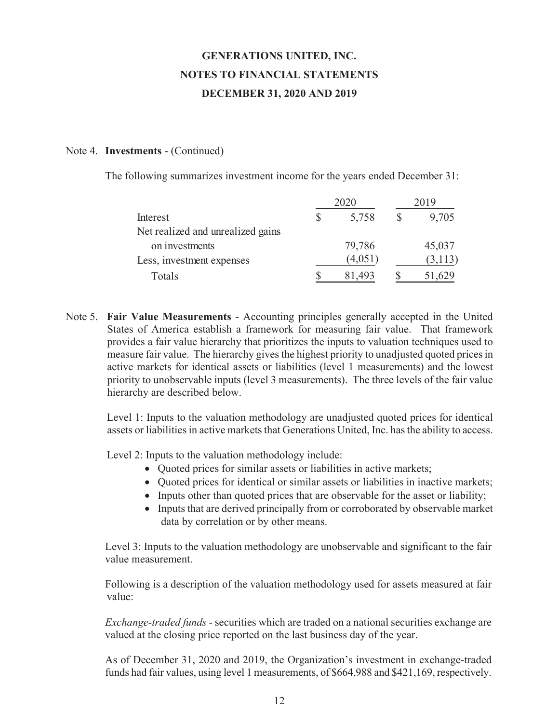#### Note 4. **Investments** - (Continued)

The following summarizes investment income for the years ended December 31:

|                                   |   |         | 01 9    |
|-----------------------------------|---|---------|---------|
| Interest                          | S | 5,758   | 9,705   |
| Net realized and unrealized gains |   |         |         |
| on investments                    |   | 79,786  | 45,037  |
| Less, investment expenses         |   | (4,051) | (3,113) |
| Totals                            |   | 81,493  | 51,629  |

Note 5. **Fair Value Measurements** - Accounting principles generally accepted in the United States of America establish a framework for measuring fair value. That framework provides a fair value hierarchy that prioritizes the inputs to valuation techniques used to measure fair value. The hierarchy gives the highest priority to unadjusted quoted prices in active markets for identical assets or liabilities (level 1 measurements) and the lowest priority to unobservable inputs (level 3 measurements). The three levels of the fair value hierarchy are described below.

 Level 1: Inputs to the valuation methodology are unadjusted quoted prices for identical assets or liabilities in active markets that Generations United, Inc. has the ability to access.

Level 2: Inputs to the valuation methodology include:

- Quoted prices for similar assets or liabilities in active markets;
- Quoted prices for identical or similar assets or liabilities in inactive markets;
- Inputs other than quoted prices that are observable for the asset or liability;
- Inputs that are derived principally from or corroborated by observable market data by correlation or by other means.

 Level 3: Inputs to the valuation methodology are unobservable and significant to the fair value measurement.

 Following is a description of the valuation methodology used for assets measured at fair value:

 *Exchange-traded funds* - securities which are traded on a national securities exchange are valued at the closing price reported on the last business day of the year.

 As of December 31, 2020 and 2019, the Organization's investment in exchange-traded funds had fair values, using level 1 measurements, of \$664,988 and \$421,169, respectively.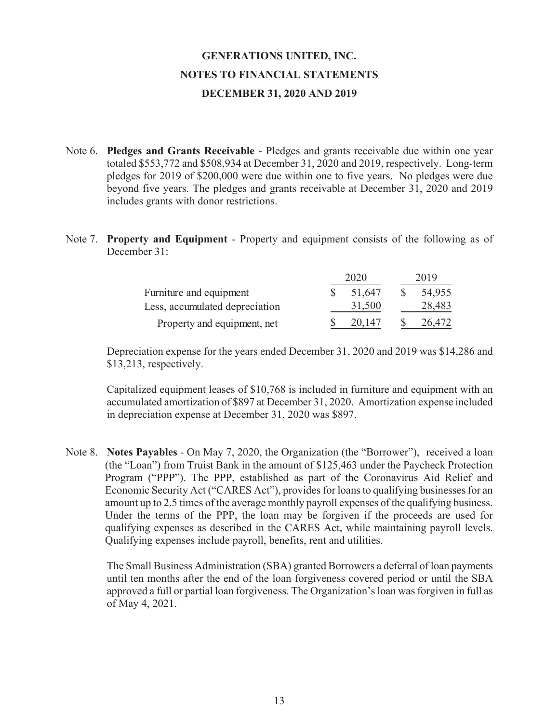- Note 6. **Pledges and Grants Receivable** Pledges and grants receivable due within one year totaled \$553,772 and \$508,934 at December 31, 2020 and 2019, respectively. Long-term pledges for 2019 of \$200,000 were due within one to five years. No pledges were due beyond five years. The pledges and grants receivable at December 31, 2020 and 2019 includes grants with donor restrictions.
- Note 7. **Property and Equipment** Property and equipment consists of the following as of December 31:

|                                | 2020   | 2019   |  |  |
|--------------------------------|--------|--------|--|--|
| Furniture and equipment        | 51.647 | 54,955 |  |  |
| Less, accumulated depreciation | 31,500 | 28,483 |  |  |
| Property and equipment, net    | 20.147 | 26,472 |  |  |

 Depreciation expense for the years ended December 31, 2020 and 2019 was \$14,286 and \$13,213, respectively.

 Capitalized equipment leases of \$10,768 is included in furniture and equipment with an accumulated amortization of \$897 at December 31, 2020. Amortization expense included in depreciation expense at December 31, 2020 was \$897.

Note 8. **Notes Payables** - On May 7, 2020, the Organization (the "Borrower"), received a loan (the "Loan") from Truist Bank in the amount of \$125,463 under the Paycheck Protection Program ("PPP"). The PPP, established as part of the Coronavirus Aid Relief and Economic Security Act ("CARES Act"), provides for loans to qualifying businesses for an amount up to 2.5 times of the average monthly payroll expenses of the qualifying business. Under the terms of the PPP, the loan may be forgiven if the proceeds are used for qualifying expenses as described in the CARES Act, while maintaining payroll levels. Qualifying expenses include payroll, benefits, rent and utilities.

 The Small Business Administration (SBA) granted Borrowers a deferral of loan payments until ten months after the end of the loan forgiveness covered period or until the SBA approved a full or partial loan forgiveness. The Organization's loan was forgiven in full as of May 4, 2021.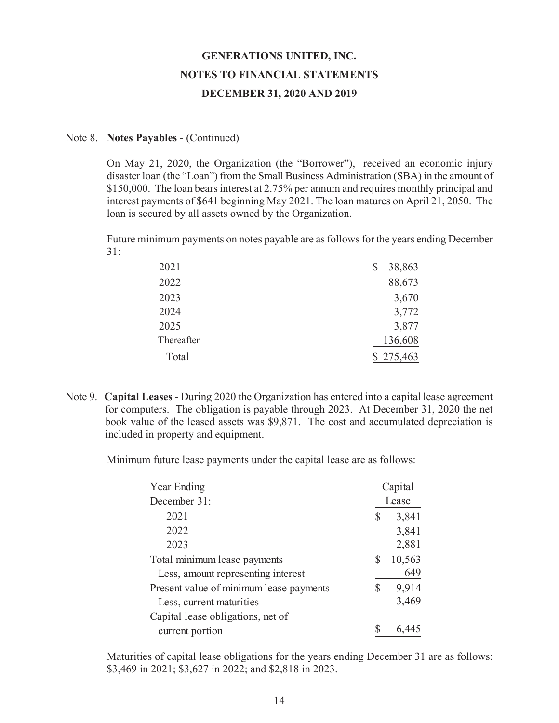#### Note 8. **Notes Payables** - (Continued)

 On May 21, 2020, the Organization (the "Borrower"), received an economic injury disaster loan (the "Loan") from the Small Business Administration (SBA) in the amount of \$150,000. The loan bears interest at 2.75% per annum and requires monthly principal and interest payments of \$641 beginning May 2021. The loan matures on April 21, 2050. The loan is secured by all assets owned by the Organization.

 Future minimum payments on notes payable are as follows for the years ending December 31:

| 2021       | 38,863    |
|------------|-----------|
| 2022       | 88,673    |
| 2023       | 3,670     |
| 2024       | 3,772     |
| 2025       | 3,877     |
| Thereafter | 136,608   |
| Total      | \$275,463 |

Note 9. **Capital Leases** - During 2020 the Organization has entered into a capital lease agreement for computers. The obligation is payable through 2023. At December 31, 2020 the net book value of the leased assets was \$9,871. The cost and accumulated depreciation is included in property and equipment.

Minimum future lease payments under the capital lease are as follows:

| Year Ending                             |    | Capital |
|-----------------------------------------|----|---------|
| December 31:                            |    | Lease   |
| 2021                                    | \$ | 3,841   |
| 2022                                    |    | 3,841   |
| 2023                                    |    | 2,881   |
| Total minimum lease payments            | S  | 10,563  |
| Less, amount representing interest      |    | 649     |
| Present value of minimum lease payments | \$ | 9,914   |
| Less, current maturities                |    | 3,469   |
| Capital lease obligations, net of       |    |         |
| current portion                         |    | 6.4     |

Maturities of capital lease obligations for the years ending December 31 are as follows: \$3,469 in 2021; \$3,627 in 2022; and \$2,818 in 2023.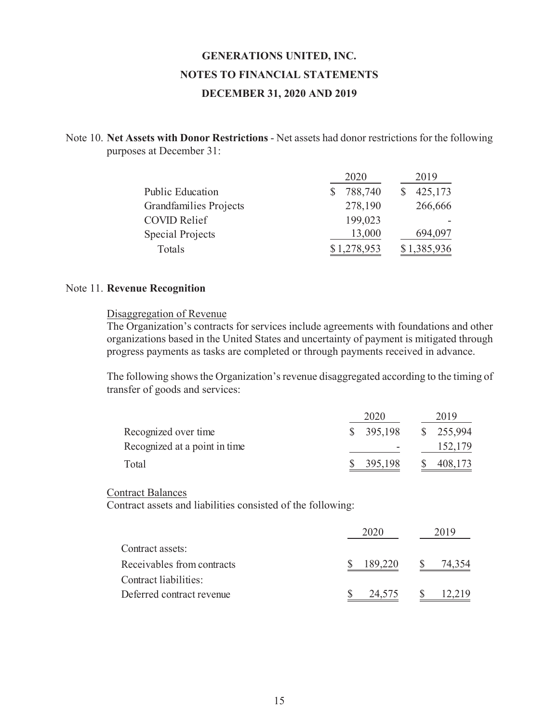Note 10. **Net Assets with Donor Restrictions** - Net assets had donor restrictions for the following purposes at December 31:

|                         | 2020        | 2019        |
|-------------------------|-------------|-------------|
| <b>Public Education</b> | 788,740     | 425,173     |
| Grandfamilies Projects  | 278,190     | 266,666     |
| <b>COVID Relief</b>     | 199,023     |             |
| Special Projects        | 13,000      | 694,097     |
| Totals                  | \$1,278,953 | \$1,385,936 |

#### Note 11. **Revenue Recognition**

#### Disaggregation of Revenue

 The Organization's contracts for services include agreements with foundations and other organizations based in the United States and uncertainty of payment is mitigated through progress payments as tasks are completed or through payments received in advance.

 The following shows the Organization's revenue disaggregated according to the timing of transfer of goods and services:

|                               | 2020      | 2019      |
|-------------------------------|-----------|-----------|
| Recognized over time          | \$395,198 | \$255,994 |
| Recognized at a point in time |           | 152,179   |
| Total                         | 395,198   | 408,173   |

#### Contract Balances

Contract assets and liabilities consisted of the following:

|                            | 2020    | 2019   |
|----------------------------|---------|--------|
| Contract assets:           |         |        |
| Receivables from contracts | 189,220 | 74,354 |
| Contract liabilities:      |         |        |
| Deferred contract revenue  | 24,575  | 12.219 |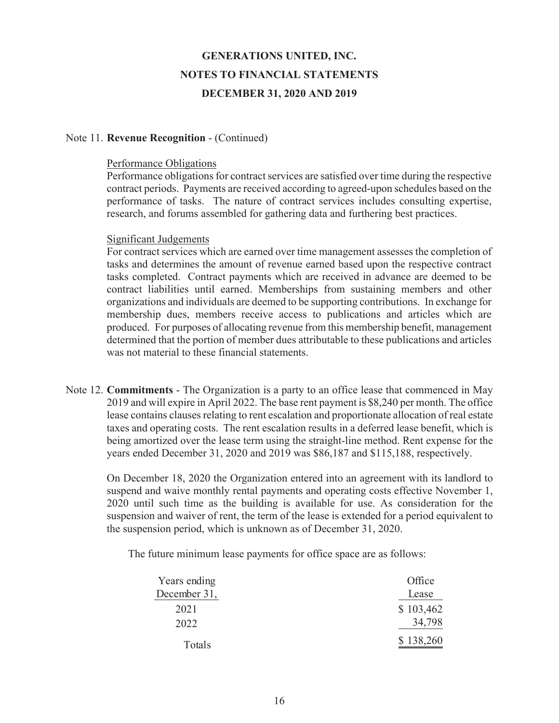#### Note 11. **Revenue Recognition** - (Continued)

#### Performance Obligations

Performance obligations for contract services are satisfied over time during the respective contract periods. Payments are received according to agreed-upon schedules based on the performance of tasks. The nature of contract services includes consulting expertise, research, and forums assembled for gathering data and furthering best practices.

#### Significant Judgements

For contract services which are earned over time management assesses the completion of tasks and determines the amount of revenue earned based upon the respective contract tasks completed. Contract payments which are received in advance are deemed to be contract liabilities until earned. Memberships from sustaining members and other organizations and individuals are deemed to be supporting contributions. In exchange for membership dues, members receive access to publications and articles which are produced. For purposes of allocating revenue from this membership benefit, management determined that the portion of member dues attributable to these publications and articles was not material to these financial statements.

Note 12. **Commitments** - The Organization is a party to an office lease that commenced in May 2019 and will expire in April 2022. The base rent payment is \$8,240 per month. The office lease contains clauses relating to rent escalation and proportionate allocation of real estate taxes and operating costs. The rent escalation results in a deferred lease benefit, which is being amortized over the lease term using the straight-line method. Rent expense for the years ended December 31, 2020 and 2019 was \$86,187 and \$115,188, respectively.

 On December 18, 2020 the Organization entered into an agreement with its landlord to suspend and waive monthly rental payments and operating costs effective November 1, 2020 until such time as the building is available for use. As consideration for the suspension and waiver of rent, the term of the lease is extended for a period equivalent to the suspension period, which is unknown as of December 31, 2020.

The future minimum lease payments for office space are as follows:

| Years ending | Office    |
|--------------|-----------|
| December 31, | Lease     |
| 2021         | \$103,462 |
| 2022         | 34,798    |
| Totals       | \$138,260 |